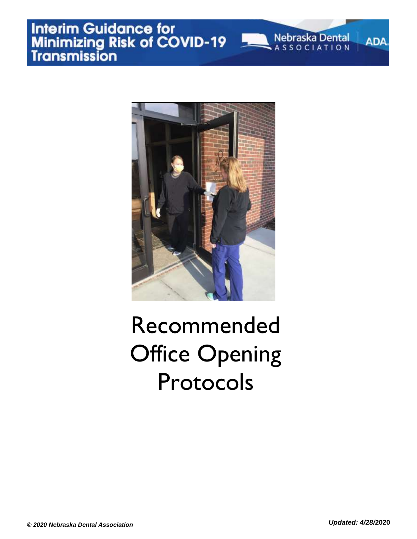

### Recommended Office Opening Protocols

**ADA**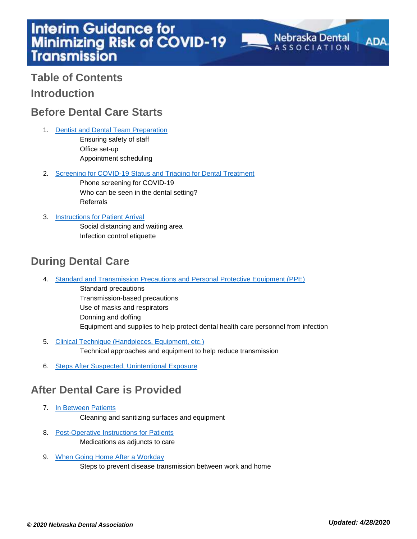**Table of Contents Introduction**

#### **Before Dental Care Starts**

1. Dentist and Dental Team Preparation

Ensuring safety of staff Office set-up Appointment scheduling

2. Screening for COVID-19 Status and Triaging for Dental Treatment

Phone screening for COVID-19 Who can be seen in the dental setting? Referrals

3. Instructions for Patient Arrival

Social distancing and waiting area Infection control etiquette

#### **During Dental Care**

4. Standard and Transmission Precautions and Personal Protective Equipment (PPE)

Standard precautions Transmission-based precautions Use of masks and respirators Donning and doffing Equipment and supplies to help protect dental health care personnel from infection

- 5. Clinical Technique (Handpieces, Equipment, etc.) Technical approaches and equipment to help reduce transmission
- 6. [Steps After Suspected, Unintentional](#page-7-0) Exposure

#### **After Dental Care is Provided**

7. In Between Patients

Cleaning and sanitizing surfaces and equipment

- 8. Post-Operative Instructions for Patients Medications as adjuncts to care
- 9. When Going Home After a Workday Steps to prevent disease transmission between work and home

**Nebraska Dental** 

**ADA**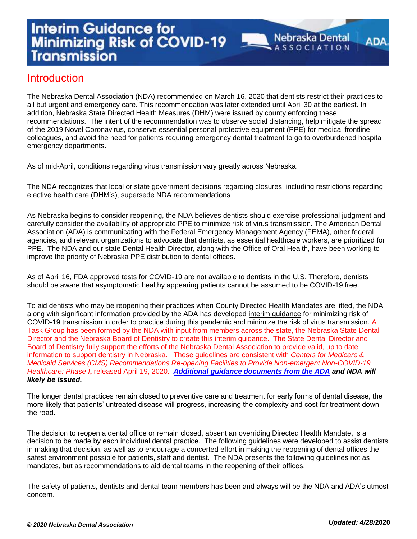ADA

#### **Introduction**

The Nebraska Dental Association (NDA) recommended on March 16, 2020 that dentists restrict their practices to all but urgent and emergency care. This recommendation was later extended until April 30 at the earliest. In addition, Nebraska State Directed Health Measures (DHM) were issued by county enforcing these recommendations. The intent of the recommendation was to observe social distancing, help mitigate the spread of the 2019 Novel Coronavirus, conserve essential personal protective equipment (PPE) for medical frontline colleagues, and avoid the need for patients requiring emergency dental treatment to go to overburdened hospital emergency departments.

As of mid-April, conditions regarding virus transmission vary greatly across Nebraska.

The NDA recognizes that [local or state government decisions](https://success.ada.org/en/practice-management/patients/covid-19-state-mandates-and-recommendations?utm_source=adaorg&utm_medium=covid-statement-200401&utm_content=stateaction&utm_campaign=covid-19) regarding closures, including restrictions regarding elective health care (DHM's), supersede NDA recommendations.

As Nebraska begins to consider reopening, the NDA believes dentists should exercise professional judgment and carefully consider the availability of appropriate PPE to minimize risk of virus transmission. The American Dental Association (ADA) is communicating with the Federal Emergency Management Agency (FEMA), other federal agencies, and relevant organizations to advocate that dentists, as essential healthcare workers, are prioritized for PPE. The NDA and our state Dental Health Director, along with the Office of Oral Health, have been working to improve the priority of Nebraska PPE distribution to dental offices.

As of April 16, FDA approved tests for COVID-19 are not available to dentists in the U.S. Therefore, dentists should be aware that asymptomatic healthy appearing patients cannot be assumed to be COVID-19 free.

To aid dentists who may be reopening their practices when County Directed Health Mandates are lifted, the NDA along with significant information provided by the ADA has developed [interim guidance](https://success.ada.org/~/media/CPS/Files/COVID/ADA_Interim_Mask_and_Face_Shield_Guidelines.pdf) for minimizing risk of COVID-19 transmission in order to practice during this pandemic and minimize the risk of virus transmission. A Task Group has been formed by the NDA with input from members across the state, the Nebraska State Dental Director and the Nebraska Board of Dentistry to create this interim guidance. The State Dental Director and Board of Dentistry fully support the efforts of the Nebraska Dental Association to provide valid, up to date information to support dentistry in Nebraska. These guidelines are consistent with *Centers for Medicare & Medicaid Services (CMS) Recommendations Re-opening Facilities to Provide Non-emergent Non-COVID-19 Healthcare: Phase I***,** released April 19, 2020.*[Additional guidance documents from the ADA](https://www.nedental.org/docs/librariesprovider32/default-document-library/return-to-work-toolkit.pdf?sfvrsn=0) and NDA will likely be issued.* 

The longer dental practices remain closed to preventive care and treatment for early forms of dental disease, the more likely that patients' untreated disease will progress, increasing the complexity and cost for treatment down the road.

The decision to reopen a dental office or remain closed, absent an overriding Directed Health Mandate, is a decision to be made by each individual dental practice. The following guidelines were developed to assist dentists in making that decision, as well as to encourage a concerted effort in making the reopening of dental offices the safest environment possible for patients, staff and dentist. The NDA presents the following guidelines not as mandates, but as recommendations to aid dental teams in the reopening of their offices.

The safety of patients, dentists and dental team members has been and always will be the NDA and ADA's utmost concern.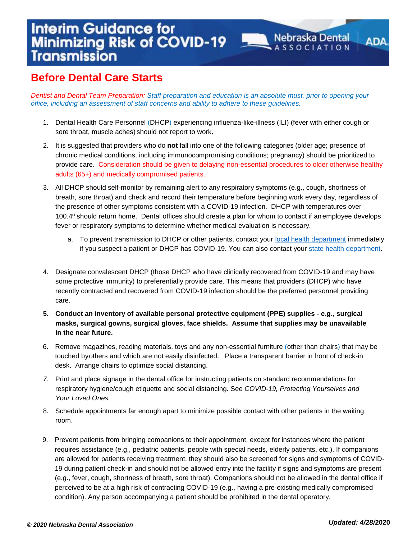*Dentist and Dental Team Preparation: Staff preparation and education is an absolute must, prior to opening your office, including an assessment of staff concerns and ability to adhere to these guidelines.* 

1. Dental Health Care Personnel (DHCP) experiencing influenza-like-illness (ILI) (fever with either cough or sore throat, muscle aches) should not report to work.

**Nebraska Dental** 

**ADA** 

- 2. It is suggested that providers who do **not** fall into one of the following categories (older age; presence of chronic medical conditions, including immunocompromising conditions; pregnancy) should be prioritized to provide care. Consideration should be given to delaying non-essential procedures to older otherwise healthy adults (65+) and medically compromised patients.
- 3. All DHCP should self-monitor by remaining alert to any respiratory symptoms (e.g., cough, shortness of breath, sore throat) and check and record their temperature before beginning work every day, regardless of the presence of other symptoms consistent with a COVID-19 infection. DHCP with temperatures over 100.4º should return home. Dental offices should create a plan for whom to contact if anemployee develops fever or respiratory symptoms to determine whether medical evaluation is necessary.
	- a. To prevent transmission to DHCP or other patients, contact your [local health department](https://www.naccho.org/membership/lhd-directory) immediately if you suspect a patient or DHCP has COVID-19. You can also contact your [state health department.](https://www.cste.org/page/EpiOnCall)
- 4. Designate convalescent DHCP (those DHCP who have clinically recovered from COVID-19 and may have some protective immunity) to preferentially provide care. This means that providers (DHCP) who have recently contracted and recovered from COVID-19 infection should be the preferred personnel providing care.
- **5. Conduct an inventory of available personal protective equipment (PPE) supplies - e.g., surgical masks, surgical gowns, surgical gloves, face shields. Assume that supplies may be unavailable in the near future.**
- 6. Remove magazines, reading materials, toys and any non-essential furniture (other than chairs) that may be touched byothers and which are not easily disinfected. Place a transparent barrier in front of check-in desk. Arrange chairs to optimize social distancing.
- *7.* Print and place signage in the dental office for instructing patients on standard recommendations for respiratory hygiene/cough etiquette and social distancing. See *COVID-19, Protecting Yourselves and Your Loved Ones.*
- 8. Schedule appointments far enough apart to minimize possible contact with other patients in the waiting room.
- 9. Prevent patients from bringing companions to their appointment, except for instances where the patient requires assistance (e.g., pediatric patients, people with special needs, elderly patients, etc.). If companions are allowed for patients receiving treatment, they should also be screened for signs and symptoms of COVID-19 during patient check-in and should not be allowed entry into the facility if signs and symptoms are present (e.g., fever, cough, shortness of breath, sore throat). Companions should not be allowed in the dental office if perceived to be at a high risk of contracting COVID-19 (e.g., having a pre-existing medically compromised condition). Any person accompanying a patient should be prohibited in the dental operatory.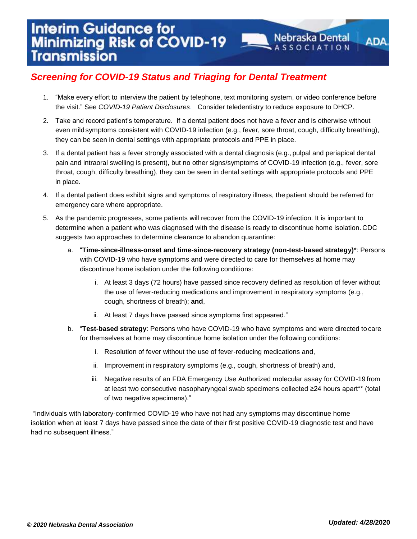1. "Make every effort to interview the patient by telephone, text monitoring system, or video conference before the visit." See *COVID-19 Patient Disclosures*. Consider teledentistry to reduce exposure to DHCP.

**Nebraska Dental** 

**ADA** 

- 2. Take and record patient's temperature. If a dental patient does not have a fever and is otherwise without even mildsymptoms consistent with COVID-19 infection (e.g., fever, sore throat, cough, difficulty breathing), they can be seen in dental settings with appropriate protocols and PPE in place.
- 3. If a dental patient has a fever strongly associated with a dental diagnosis (e.g., pulpal and periapical dental pain and intraoral swelling is present), but no other signs/symptoms of COVID-19 infection (e.g., fever, sore throat, cough, difficulty breathing), they can be seen in dental settings with appropriate protocols and PPE in place.
- 4. If a dental patient does exhibit signs and symptoms of respiratory illness, the patient should be referred for emergency care where appropriate.
- 5. As the pandemic progresses, some patients will recover from the COVID-19 infection. It is important to determine when a patient who was diagnosed with the disease is ready to discontinue home isolation. CDC suggests two approaches to determine clearance to abandon quarantine:
	- a. "**Time-since-illness-onset and time-since-recovery strategy (non-test-based strategy)**\*: Persons with COVID-19 who have symptoms and were directed to care for themselves at home may discontinue home isolation under the following conditions:
		- i. At least 3 days (72 hours) have passed since recovery defined as resolution of fever without the use of fever-reducing medications and improvement in respiratory symptoms (e.g., cough, shortness of breath); **and**,
		- ii. At least 7 days have passed since symptoms first appeared."
	- b. "**Test-based strategy**: Persons who have COVID-19 who have symptoms and were directed to care for themselves at home may discontinue home isolation under the following conditions:
		- i. Resolution of fever without the use of fever-reducing medications and,
		- ii. Improvement in respiratory symptoms (e.g., cough, shortness of breath) and,
		- iii. Negative results of an FDA Emergency Use Authorized molecular assay for COVID-19 from at least two consecutive nasopharyngeal swab specimens collected ≥24 hours apart\*\* (total of two negative specimens)."

"Individuals with laboratory-confirmed COVID-19 who have not had any symptoms may discontinue home isolation when at least 7 days have passed since the date of their first positive COVID-19 diagnostic test and have had no subsequent illness."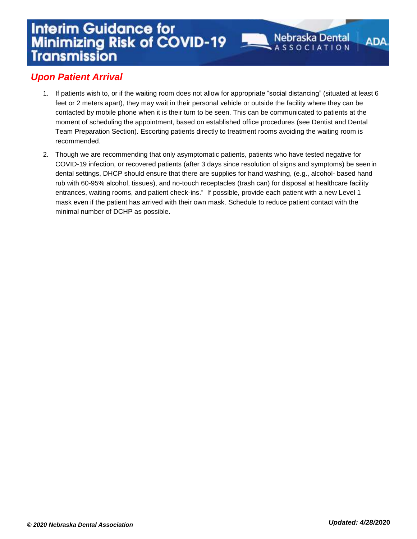**ADA** 

#### *Upon Patient Arrival*

- 1. If patients wish to, or if the waiting room does not allow for appropriate "social distancing" (situated at least 6 feet or 2 meters apart), they may wait in their personal vehicle or outside the facility where they can be contacted by mobile phone when it is their turn to be seen. This can be communicated to patients at the moment of scheduling the appointment, based on established office procedures (see Dentist and Dental Team Preparation Section). Escorting patients directly to treatment rooms avoiding the waiting room is recommended.
- 2. Though we are recommending that only asymptomatic patients, patients who have tested negative for COVID-19 infection, or recovered patients (after 3 days since resolution of signs and symptoms) be seenin dental settings, DHCP should ensure that there are supplies for hand washing, (e.g., alcohol- based hand rub with 60-95% alcohol, tissues), and no-touch receptacles (trash can) for disposal at healthcare facility entrances, waiting rooms, and patient check-ins." If possible, provide each patient with a new Level 1 mask even if the patient has arrived with their own mask. Schedule to reduce patient contact with the minimal number of DCHP as possible.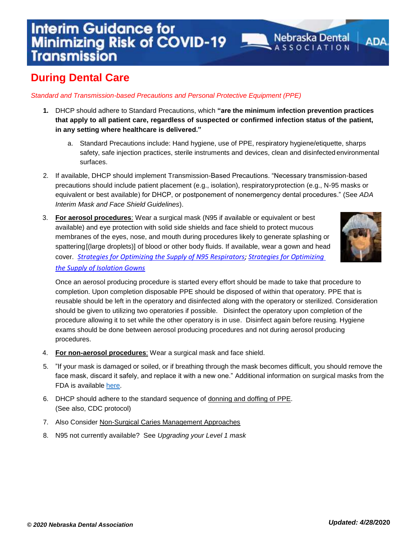*Standard and Transmission-based Precautions and Personal Protective Equipment (PPE)*

- **1.** DHCP should adhere to Standard Precautions, which **"are the minimum infection prevention practices that apply to all patient care, regardless of suspected or confirmed infection status of the patient, in any setting where healthcare is delivered."**
	- a. Standard Precautions include: Hand hygiene, use of PPE, respiratory hygiene/etiquette, sharps safety, safe injection practices, sterile instruments and devices, clean and disinfected environmental surfaces.
- 2. If available, DHCP should implement Transmission-Based Precautions. "Necessary transmission-based precautions should include patient placement (e.g., isolation), respiratoryprotection (e.g., N-95 masks or equivalent or best available) for DHCP, or postponement of nonemergency dental procedures." (See *ADA Interim Mask and Face Shield Guidelines*).
- 3. **For aerosol procedures**: Wear a surgical mask (N95 if available or equivalent or best available) and eye protection with solid side shields and face shield to protect mucous membranes of the eyes, nose, and mouth during procedures likely to generate splashing or spattering[(large droplets)] of blood or other body fluids. If available, wear a gown and head cover. *[Strategies for Optimizing the Supply of N95 Respirators;](https://www.cdc.gov/coronavirus/2019-ncov/hcp/respirators-strategy/index.html) [Strategies for Optimizing](https://www.cdc.gov/coronavirus/2019-ncov/hcp/ppe-strategy/isolation-gowns.html)  [the Supply of Isolation Gowns](https://www.cdc.gov/coronavirus/2019-ncov/hcp/ppe-strategy/isolation-gowns.html)*



ADA

**Nebraska Dental** 

Once an aerosol producing procedure is started every effort should be made to take that procedure to completion. Upon completion disposable PPE should be disposed of within that operatory. PPE that is reusable should be left in the operatory and disinfected along with the operatory or sterilized. Consideration should be given to utilizing two operatories if possible. Disinfect the operatory upon completion of the procedure allowing it to set while the other operatory is in use. Disinfect again before reusing. Hygiene exams should be done between aerosol producing procedures and not during aerosol producing procedures.

- 4. **For non-aerosol procedures**: Wear a surgical mask and face shield.
- 5. "If your mask is damaged or soiled, or if breathing through the mask becomes difficult, you should remove the face mask, discard it safely, and replace it with a new one." Additional information on surgical masks from the FDA is available [here.](https://www.fda.gov/medical-devices/personal-protective-equipment-infection-control/n95-respirators-and-surgical-masks-face-masks)
- 6. DHCP should adhere to the standard sequence of [donning and doffing of PPE.](https://app1.unmc.edu/nursing/heroes/mpv.cfm?updateindex=70&src=yt) (See also, CDC protocol)
- 7. Also Consider [Non-Surgical Caries Management Approaches](https://oralhealthnc.org/wp-content/uploads/2020/04/Non-Surgical-Caries-Management-Approaches.pdf)
- 8. N95 not currently available? See *Upgrading your Level 1 mask*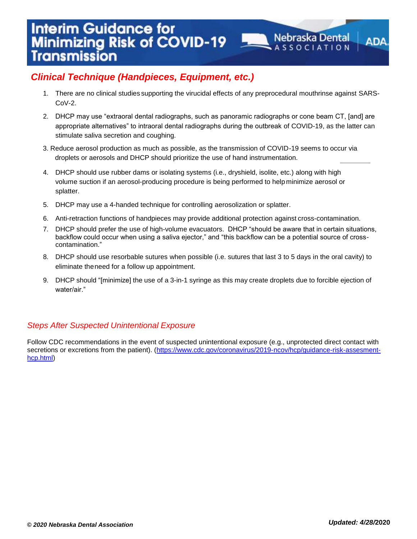1. There are no clinical studies supporting the virucidal effects of any preprocedural mouthrinse against SARS- $C_0V-2$ 

**Nebraska Dental** 

**ADA** 

- 2. DHCP may use "extraoral dental radiographs, such as panoramic radiographs or cone beam CT, [and] are appropriate alternatives" to intraoral dental radiographs during the outbreak of COVID-19, as the latter can stimulate saliva secretion and coughing.
- 3. Reduce aerosol production as much as possible, as the transmission of COVID-19 seems to occur via droplets or aerosols and DHCP should prioritize the use of hand instrumentation.
- 4. DHCP should use rubber dams or isolating systems (i.e., dryshield, isolite, etc.) along with high volume suction if an aerosol-producing procedure is being performed to help minimize aerosol or splatter.
- 5. DHCP may use a 4-handed technique for controlling aerosolization or splatter.
- 6. Anti-retraction functions of handpieces may provide additional protection against cross-contamination.
- 7. DHCP should prefer the use of high-volume evacuators. DHCP "should be aware that in certain situations, backflow could occur when using a saliva ejector," and "this backflow can be a potential source of crosscontamination."
- 8. DHCP should use resorbable sutures when possible (i.e. sutures that last 3 to 5 days in the oral cavity) to eliminate theneed for a follow up appointment.
- <span id="page-7-0"></span>9. DHCP should "[minimize] the use of a 3-in-1 syringe as this may create droplets due to forcible ejection of water/air."

#### *Steps After Suspected Unintentional Exposure*

Follow CDC recommendations in the event of suspected unintentional exposure (e.g., unprotected direct contact with secretions or excretions from the patient). [\(https://www.cdc.gov/coronavirus/2019-ncov/hcp/guidance-risk-assesment](https://www.cdc.gov/coronavirus/2019-ncov/hcp/guidance-risk-assesment-hcp.html)[hcp.html\)](https://www.cdc.gov/coronavirus/2019-ncov/hcp/guidance-risk-assesment-hcp.html)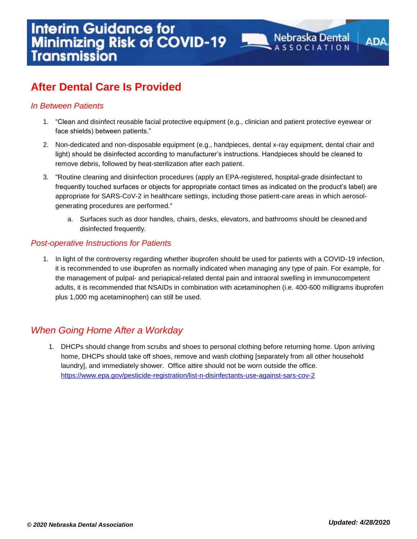#### *In Between Patients*

1. "Clean and disinfect reusable facial protective equipment (e.g., clinician and patient protective eyewear or face shields) between patients."

**Nebraska Dental** 

ADA

- 2. Non-dedicated and non-disposable equipment (e.g., handpieces, dental x-ray equipment, dental chair and light) should be disinfected according to manufacturer's instructions. Handpieces should be cleaned to remove debris, followed by heat-sterilization after each patient.
- 3. "Routine cleaning and disinfection procedures (apply an EPA-registered, hospital-grade disinfectant to frequently touched surfaces or objects for appropriate contact times as indicated on the product's label) are appropriate for SARS-CoV-2 in healthcare settings, including those patient-care areas in which aerosolgenerating procedures are performed."
	- a. Surfaces such as door handles, chairs, desks, elevators, and bathrooms should be cleaned and disinfected frequently.

#### *Post-operative Instructions for Patients*

1. In light of the controversy regarding whether ibuprofen should be used for patients with a COVID-19 infection, it is recommended to use ibuprofen as normally indicated when managing any type of pain. For example, for the management of pulpal- and periapical-related dental pain and intraoral swelling in immunocompetent adults, it is recommended that NSAIDs in combination with acetaminophen (i.e. 400-600 milligrams ibuprofen plus 1,000 mg acetaminophen) can still be used.

#### *When Going Home After a Workday*

1. DHCPs should change from scrubs and shoes to personal clothing before returning home. Upon arriving home, DHCPs should take off shoes, remove and wash clothing [separately from all other household laundry], and immediately shower. Office attire should not be worn outside the office. <https://www.epa.gov/pesticide-registration/list-n-disinfectants-use-against-sars-cov-2>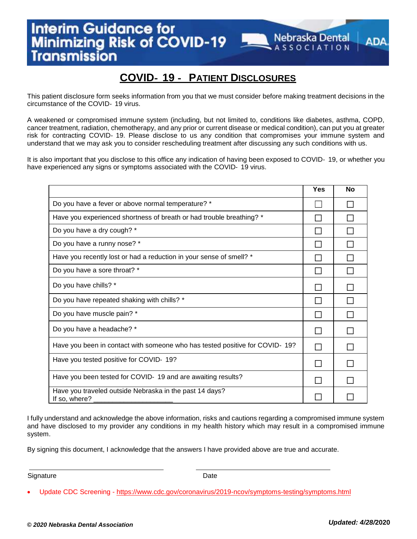#### **COVID**‐ **19** ‐ **PATIENT DISCLOSURES**

**Nebraska Dental**<br>A S S O C LATION

ADA

This patient disclosure form seeks information from you that we must consider before making treatment decisions in the circumstance of the COVID‐ 19 virus.

A weakened or compromised immune system (including, but not limited to, conditions like diabetes, asthma, COPD, cancer treatment, radiation, chemotherapy, and any prior or current disease or medical condition), can put you at greater risk for contracting COVID‐ 19. Please disclose to us any condition that compromises your immune system and understand that we may ask you to consider rescheduling treatment after discussing any such conditions with us.

It is also important that you disclose to this office any indication of having been exposed to COVID‐ 19, or whether you have experienced any signs or symptoms associated with the COVID-19 virus.

|                                                                             | <b>Yes</b> | <b>No</b> |
|-----------------------------------------------------------------------------|------------|-----------|
| Do you have a fever or above normal temperature? *                          |            |           |
| Have you experienced shortness of breath or had trouble breathing? *        |            |           |
| Do you have a dry cough? *                                                  |            |           |
| Do you have a runny nose? *                                                 |            |           |
| Have you recently lost or had a reduction in your sense of smell? *         |            |           |
| Do you have a sore throat? *                                                |            |           |
| Do you have chills? *                                                       |            |           |
| Do you have repeated shaking with chills? *                                 |            |           |
| Do you have muscle pain? *                                                  |            |           |
| Do you have a headache? *                                                   |            |           |
| Have you been in contact with someone who has tested positive for COVID-19? |            |           |
| Have you tested positive for COVID- 19?                                     |            |           |
| Have you been tested for COVID- 19 and are awaiting results?                |            |           |
| Have you traveled outside Nebraska in the past 14 days?<br>If so, where?    |            |           |

I fully understand and acknowledge the above information, risks and cautions regarding a compromised immune system and have disclosed to my provider any conditions in my health history which may result in a compromised immune system.

By signing this document, I acknowledge that the answers I have provided above are true and accurate.

Signature **Date** 

Update CDC Screening - <https://www.cdc.gov/coronavirus/2019-ncov/symptoms-testing/symptoms.html>